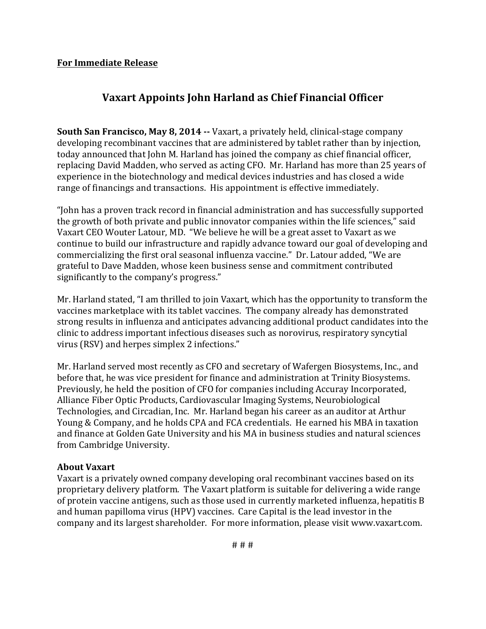## **For Immediate Release**

## **Vaxart Appoints John Harland as Chief Financial Officer**

**South San Francisco, May 8, 2014 --** Vaxart, a privately held, clinical-stage company developing recombinant vaccines that are administered by tablet rather than by injection, today announced that John M. Harland has joined the company as chief financial officer, replacing David Madden, who served as acting CFO. Mr. Harland has more than 25 years of experience in the biotechnology and medical devices industries and has closed a wide range of financings and transactions. His appointment is effective immediately.

"John has a proven track record in financial administration and has successfully supported the growth of both private and public innovator companies within the life sciences," said Vaxart CEO Wouter Latour, MD. "We believe he will be a great asset to Vaxart as we continue to build our infrastructure and rapidly advance toward our goal of developing and commercializing the first oral seasonal influenza vaccine." Dr. Latour added, "We are grateful to Dave Madden, whose keen business sense and commitment contributed significantly to the company's progress."

Mr. Harland stated, "I am thrilled to join Vaxart, which has the opportunity to transform the vaccines marketplace with its tablet vaccines. The company already has demonstrated strong results in influenza and anticipates advancing additional product candidates into the clinic to address important infectious diseases such as norovirus, respiratory syncytial virus (RSV) and herpes simplex 2 infections."

Mr. Harland served most recently as CFO and secretary of Wafergen Biosystems, Inc., and before that, he was vice president for finance and administration at Trinity Biosystems. Previously, he held the position of CFO for companies including Accuray Incorporated, Alliance Fiber Optic Products, Cardiovascular Imaging Systems, Neurobiological Technologies, and Circadian, Inc. Mr. Harland began his career as an auditor at Arthur Young & Company, and he holds CPA and FCA credentials. He earned his MBA in taxation and finance at Golden Gate University and his MA in business studies and natural sciences from Cambridge University.

## **About Vaxart**

Vaxart is a privately owned company developing oral recombinant vaccines based on its proprietary delivery platform. The Vaxart platform is suitable for delivering a wide range of protein vaccine antigens, such as those used in currently marketed influenza, hepatitis B and human papilloma virus (HPV) vaccines. Care Capital is the lead investor in the company and its largest shareholder. For more information, please visit www.vaxart.com.